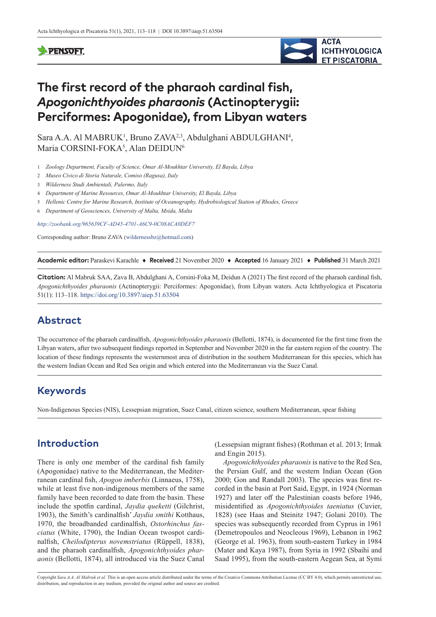#### **PENSOFT**



# **The first record of the pharaoh cardinal fish,**  *Apogonichthyoides pharaonis* **(Actinopterygii: Perciformes: Apogonidae), from Libyan waters**

Sara A.A. Al MABRUK<sup>1</sup>, Bruno ZAVA<sup>2,3</sup>, Abdulghani ABDULGHANI<sup>4</sup>, Maria CORSINI-FOKA<sup>5</sup>, Alan DEIDUN<sup>6</sup>

- 1 *Zoology Department, Faculty of Science, Omar Al-Moukhtar University, El Bayda, Libya*
- 2 *Museo Civico di Storia Naturale, Comiso (Ragusa), Italy*
- 3 *Wilderness Studi Ambientali, Palermo, Italy*
- 4 *Department of Marine Resources, Omar Al-Moukhtar University, El Bayda, Libya*
- 5 *Hellenic Centre for Marine Research, Institute of Oceanography, Hydrobiological Station of Rhodes, Greece*
- 6 *Department of Geosciences, University of Malta, Msida, Malta*

*<http://zoobank.org/965639CF-AD45-4701-A6C9-0C08ACA0DEF7>*

Corresponding author: Bruno ZAVA [\(wildernessbz@hotmail.com](mailto:wildernessbz@hotmail.com))

**Academic editor:** Paraskevi Karachle ♦ **Received** 21 November 2020 ♦ **Accepted** 16 January 2021 ♦ **Published** 31 March 2021

**Citation:** Al Mabruk SAA, Zava B, Abdulghani A, Corsini-Foka М, Deidun A (2021) The first record of the pharaoh cardinal fish, *Apogonichthyoides pharaonis* (Actinopterygii: Perciformes: Apogonidae), from Libyan waters. Acta Ichthyologica et Piscatoria 51(1): 113–118. <https://doi.org/10.3897/aiep.51.63504>

## **Abstract**

The occurrence of the pharaoh cardinalfish, *Apogonichthyoides pharaonis* (Bellotti, 1874), is documented for the first time from the Libyan waters, after two subsequent findings reported in September and November 2020 in the far eastern region of the country. The location of these findings represents the westernmost area of distribution in the southern Mediterranean for this species, which has the western Indian Ocean and Red Sea origin and which entered into the Mediterranean via the Suez Canal.

#### **Keywords**

Non-Indigenous Species (NIS), Lessepsian migration, Suez Canal, citizen science, southern Mediterranean, spear fishing

### **Introduction**

There is only one member of the cardinal fish family (Apogonidae) native to the Mediterranean, the Mediterranean cardinal fish, *Apogon imberbis* (Linnaeus, 1758), while at least five non-indigenous members of the same family have been recorded to date from the basin. These include the spotfin cardinal, *Jaydia queketti* (Gilchrist, 1903), the Smith's cardinalfish' *Jaydia smithi* Kotthaus, 1970, the broadbanded cardinalfish, *Ostorhinchus fasciatus* (White, 1790), the Indian Ocean twospot cardinalfish, *Cheilodipterus novemstriatus* (Rüppell, 1838), and the pharaoh cardinalfish, *Apogonichthyoides pharaonis* (Bellotti, 1874), all introduced via the Suez Canal (Lessepsian migrant fishes) (Rothman et al. 2013; Irmak and Engin 2015).

*Apogonichthyoides pharaonis* is native to the Red Sea, the Persian Gulf, and the western Indian Ocean (Gon 2000; Gon and Randall 2003). The species was first recorded in the basin at Port Said, Egypt, in 1924 (Norman 1927) and later off the Palestinian coasts before 1946, misidentified as *Apogonichthyoides taeniatus* (Cuvier, 1828) (see Haas and Steinitz 1947; Golani 2010). The species was subsequently recorded from Cyprus in 1961 (Demetropoulos and Neocleous 1969), Lebanon in 1962 (George et al. 1963), from south-eastern Turkey in 1984 (Mater and Kaya 1987), from Syria in 1992 (Sbaihi and Saad 1995), from the south-eastern Aegean Sea, at Symi

Copyright *Sara A.A. Al Mabruk et al.* This is an open access article distributed under the terms of the [Creative Commons Attribution License \(CC BY 4.0\),](http://creativecommons.org/licenses/by/4.0/) which permits unrestricted use, distribution, and reproduction in any medium, provided the original author and source are credited.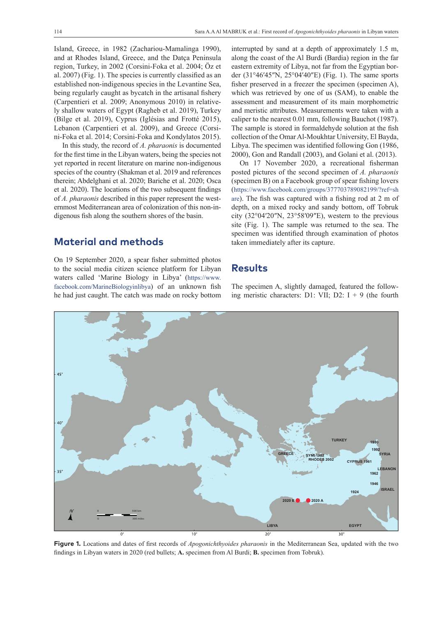Island, Greece, in 1982 (Zachariou-Mamalinga 1990), and at Rhodes Island, Greece, and the Datça Peninsula region, Turkey, in 2002 (Corsini-Foka et al. 2004; Öz et al. 2007) (Fig. 1). The species is currently classified as an established non-indigenous species in the Levantine Sea, being regularly caught as bycatch in the artisanal fishery (Carpentieri et al. 2009; Anonymous 2010) in relatively shallow waters of Egypt (Ragheb et al. 2019), Turkey (Bilge et al. 2019), Cyprus (Iglésias and Frotté 2015), Lebanon (Carpentieri et al. 2009), and Greece (Corsini-Foka et al. 2014; Corsini-Foka and Kondylatos 2015).

In this study, the record of *A. pharaonis* is documented for the first time in the Libyan waters, being the species not yet reported in recent literature on marine non-indigenous species of the country (Shakman et al. 2019 and references therein; Abdelghani et al. 2020; Bariche et al. 2020; Osca et al. 2020). The locations of the two subsequent findings of *A. pharaonis* described in this paper represent the westernmost Mediterranean area of colonization of this non-indigenous fish along the southern shores of the basin.

#### **Material and methods**

On 19 September 2020, a spear fisher submitted photos to the social media citizen science platform for Libyan waters called 'Marine Biology in Libya' [\(https://www.](https://www.facebook.com/MarineBiologyinlibya) [facebook.com/MarineBiologyinlibya\)](https://www.facebook.com/MarineBiologyinlibya) of an unknown fish he had just caught. The catch was made on rocky bottom

interrupted by sand at a depth of approximately 1.5 m, along the coast of the Al Burdi (Bardia) region in the far eastern extremity of Libya, not far from the Egyptian border (31°46′45″N, 25°04′40″E) (Fig. 1). The same sports fisher preserved in a freezer the specimen (specimen A), which was retrieved by one of us (SAM), to enable the assessment and measurement of its main morphometric and meristic attributes. Measurements were taken with a caliper to the nearest 0.01 mm, following Bauchot (1987). The sample is stored in formaldehyde solution at the fish collection of the Omar Al-Moukhtar University, El Bayda, Libya. The specimen was identified following Gon (1986, 2000), Gon and Randall (2003), and Golani et al. (2013).

On 17 November 2020, a recreational fisherman posted pictures of the second specimen of *A. pharaonis* (specimen B) on a Facebook group of spear fishing lovers ([https://www.facebook.com/groups/377703789082199/?ref=sh](https://www.facebook.com/groups/377703789082199/?ref=share) [are](https://www.facebook.com/groups/377703789082199/?ref=share)). The fish was captured with a fishing rod at 2 m of depth, on a mixed rocky and sandy bottom, off Tobruk city (32°04′20″N, 23°58′09″E), western to the previous site (Fig. 1). The sample was returned to the sea. The specimen was identified through examination of photos taken immediately after its capture.

#### **Results**

The specimen A, slightly damaged, featured the following meristic characters: D1: VII; D2:  $I + 9$  (the fourth



**Figure 1.** Locations and dates of first records of *Apogonichthyoides pharaonis* in the Mediterranean Sea, updated with the two findings in Libyan waters in 2020 (red bullets; **A.** specimen from Al Burdi; **B.** specimen from Tobruk).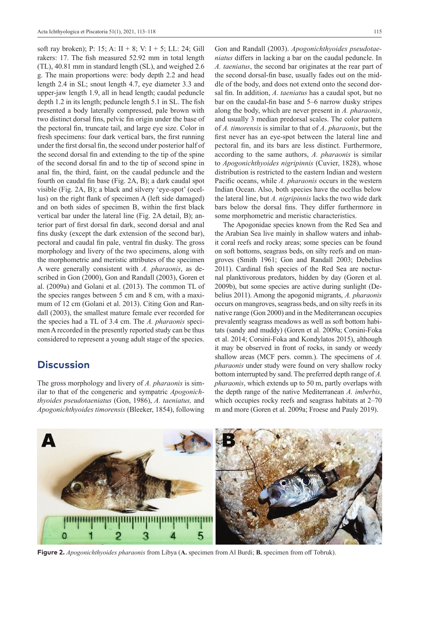soft ray broken); P: 15; A:  $II + 8$ ; V:  $I + 5$ ; LL: 24; Gill rakers: 17. The fish measured 52.92 mm in total length (TL), 40.81 mm in standard length (SL), and weighed 2.6 g. The main proportions were: body depth 2.2 and head length 2.4 in SL; snout length 4.7, eye diameter 3.3 and upper-jaw length 1.9, all in head length; caudal peduncle depth 1.2 in its length; peduncle length 5.1 in SL. The fish presented a body laterally compressed, pale brown with two distinct dorsal fins, pelvic fin origin under the base of the pectoral fin, truncate tail, and large eye size. Color in fresh specimens: four dark vertical bars, the first running under the first dorsal fin, the second under posterior half of the second dorsal fin and extending to the tip of the spine of the second dorsal fin and to the tip of second spine in anal fin, the third, faint, on the caudal peduncle and the fourth on caudal fin base (Fig. 2A, B); a dark caudal spot visible (Fig. 2A, B); a black and silvery 'eye-spot' (ocellus) on the right flank of specimen A (left side damaged) and on both sides of specimen B, within the first black vertical bar under the lateral line (Fig. 2A detail, B); anterior part of first dorsal fin dark, second dorsal and anal fins dusky (except the dark extension of the second bar), pectoral and caudal fin pale, ventral fin dusky. The gross morphology and livery of the two specimens, along with the morphometric and meristic attributes of the specimen A were generally consistent with *A. pharaonis*, as described in Gon (2000), Gon and Randall (2003), Goren et al. (2009a) and Golani et al. (2013). The common TL of the species ranges between 5 cm and 8 cm, with a maximum of 12 cm (Golani et al. 2013). Citing Gon and Randall (2003), the smallest mature female ever recorded for the species had a TL of 3.4 cm. The *A. pharaonis* specimen A recorded in the presently reported study can be thus considered to represent a young adult stage of the species.

#### **Discussion**

The gross morphology and livery of *A. pharaonis* is similar to that of the congeneric and sympatric *Apogonichthyoides pseudotaeniatus* (Gon, 1986), *A. taeniatus,* and *Apogonichthyoides timorensis* (Bleeker, 1854), following

Gon and Randall (2003). *Apogonichthyoides pseudotaeniatus* differs in lacking a bar on the caudal peduncle. In *A. taeniatus*, the second bar originates at the rear part of the second dorsal-fin base, usually fades out on the middle of the body, and does not extend onto the second dorsal fin. In addition, *A. taeniatus* has a caudal spot, but no bar on the caudal-fin base and 5–6 narrow dusky stripes along the body, which are never present in *A. pharaonis*, and usually 3 median predorsal scales. The color pattern of *A. timorensis* is similar to that of *A*. *pharaonis*, but the first never has an eye-spot between the lateral line and pectoral fin, and its bars are less distinct. Furthermore, according to the same authors, *A. pharaonis* is similar to *Apogonichthyoides nigripinnis* (Cuvier, 1828), whose distribution is restricted to the eastern Indian and western Pacific oceans, while *A. pharaonis* occurs in the western Indian Ocean. Also, both species have the ocellus below the lateral line, but *A. nigripinnis* lacks the two wide dark bars below the dorsal fins. They differ furthermore in some morphometric and meristic characteristics.

The Apogonidae species known from the Red Sea and the Arabian Sea live mainly in shallow waters and inhabit coral reefs and rocky areas; some species can be found on soft bottoms, seagrass beds, on silty reefs and on mangroves (Smith 1961; Gon and Randall 2003; Debelius 2011). Cardinal fish species of the Red Sea are nocturnal planktivorous predators, hidden by day (Goren et al. 2009b), but some species are active during sunlight (Debelius 2011). Among the apogonid migrants, *A. pharaonis* occurs on mangroves, seagrass beds, and on silty reefs in its native range (Gon 2000) and in the Mediterranean occupies prevalently seagrass meadows as well as soft bottom habitats (sandy and muddy) (Goren et al. 2009a; Corsini-Foka et al. 2014; Corsini-Foka and Kondylatos 2015), although it may be observed in front of rocks, in sandy or weedy shallow areas (MCF pers. comm.). The specimens of *A. pharaonis* under study were found on very shallow rocky bottom interrupted by sand. The preferred depth range of *A. pharaonis*, which extends up to 50 m, partly overlaps with the depth range of the native Mediterranean *A. imberbis*, which occupies rocky reefs and seagrass habitats at 2–70 m and more (Goren et al. 2009a; Froese and Pauly 2019).



**Figure 2.** *Apogonichthyoides pharaonis* from Libya (**A.** specimen from Al Burdi; **B.** specimen from off Tobruk).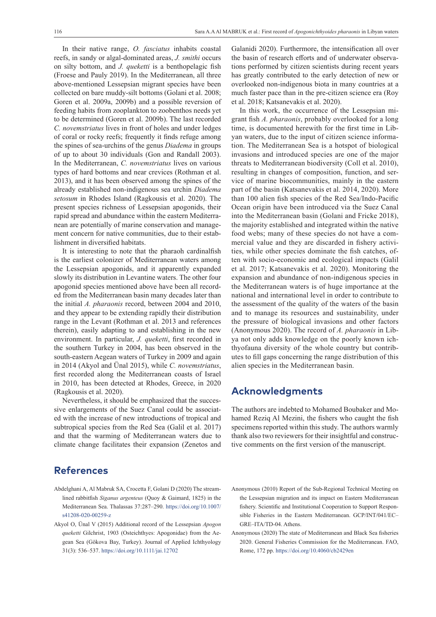In their native range, *O. fasciatus* inhabits coastal reefs, in sandy or algal-dominated areas, *J. smithi* occurs on silty bottom, and *J. queketti* is a benthopelagic fish (Froese and Pauly 2019). In the Mediterranean, all three above-mentioned Lessepsian migrant species have been collected on bare muddy-silt bottoms (Golani et al. 2008; Goren et al. 2009a, 2009b) and a possible reversion of feeding habits from zooplankton to zoobenthos needs yet to be determined (Goren et al. 2009b). The last recorded *C. novemstriatus* lives in front of holes and under ledges of coral or rocky reefs; frequently it finds refuge among the spines of sea-urchins of the genus *Diadema* in groups of up to about 30 individuals (Gon and Randall 2003). In the Mediterranean, *C. novemstriatus* lives on various types of hard bottoms and near crevices (Rothman et al. 2013), and it has been observed among the spines of the already established non-indigenous sea urchin *Diadema setosum* in Rhodes Island (Ragkousis et al. 2020). The present species richness of Lessepsian apogonids, their rapid spread and abundance within the eastern Mediterranean are potentially of marine conservation and management concern for native communities, due to their establishment in diversified habitats.

It is interesting to note that the pharaoh cardinalfish is the earliest colonizer of Mediterranean waters among the Lessepsian apogonids, and it apparently expanded slowly its distribution in Levantine waters. The other four apogonid species mentioned above have been all recorded from the Mediterranean basin many decades later than the initial *A. pharaonis* record, between 2004 and 2010, and they appear to be extending rapidly their distribution range in the Levant (Rothman et al. 2013 and references therein), easily adapting to and establishing in the new environment. In particular, *J. queketti*, first recorded in the southern Turkey in 2004, has been observed in the south-eastern Aegean waters of Turkey in 2009 and again in 2014 (Akyol and Ünal 2015), while *C. novemstriatus*, first recorded along the Mediterranean coasts of Israel in 2010, has been detected at Rhodes, Greece, in 2020 (Ragkousis et al. 2020).

Nevertheless, it should be emphasized that the successive enlargements of the Suez Canal could be associated with the increase of new introductions of tropical and subtropical species from the Red Sea (Galil et al. 2017) and that the warming of Mediterranean waters due to climate change facilitates their expansion (Zenetos and

#### **References**

- Abdelghani A, Al Mabruk SA, Crocetta F, Golani D (2020) The streamlined rabbitfish *Siganus argenteus* (Quoy & Gaimard, 1825) in the Mediterranean Sea. Thalassas 37:287–290. [https://doi.org/10.1007/](https://doi.org/10.1007/s41208-020-00259-z) [s41208-020-00259-z](https://doi.org/10.1007/s41208-020-00259-z)
- Akyol O, Ünal V (2015) Additional record of the Lessepsian *Apogon queketti* Gilchrist, 1903 (Osteichthyes: Apogonidae) from the Aegean Sea (Gökova Bay, Turkey). Journal of Applied Ichthyology 31(3): 536–537. <https://doi.org/10.1111/jai.12702>

Galanidi 2020). Furthermore, the intensification all over the basin of research efforts and of underwater observations performed by citizen scientists during recent years has greatly contributed to the early detection of new or overlooked non-indigenous biota in many countries at a much faster pace than in the pre-citizen science era (Roy et al. 2018; Katsanevakis et al. 2020).

In this work, the occurrence of the Lessepsian migrant fish *A. pharaonis*, probably overlooked for a long time, is documented herewith for the first time in Libyan waters, due to the input of citizen science information. The Mediterranean Sea is a hotspot of biological invasions and introduced species are one of the major threats to Mediterranean biodiversity (Coll et al. 2010), resulting in changes of composition, function, and service of marine biocommunities, mainly in the eastern part of the basin (Katsanevakis et al. 2014, 2020). More than 100 alien fish species of the Red Sea/Indo-Pacific Ocean origin have been introduced via the Suez Canal into the Mediterranean basin (Golani and Fricke 2018), the majority established and integrated within the native food webs; many of these species do not have a commercial value and they are discarded in fishery activities, while other species dominate the fish catches, often with socio-economic and ecological impacts (Galil et al. 2017; Katsanevakis et al. 2020). Monitoring the expansion and abundance of non-indigenous species in the Mediterranean waters is of huge importance at the national and international level in order to contribute to the assessment of the quality of the waters of the basin and to manage its resources and sustainability, under the pressure of biological invasions and other factors (Anonymous 2020). The record of *A. pharaonis* in Libya not only adds knowledge on the poorly known ichthyofauna diversity of the whole country but contributes to fill gaps concerning the range distribution of this alien species in the Mediterranean basin.

#### **Acknowledgments**

The authors are indebted to Mohamed Boubaker and Mohamed Reziq Al Mezini, the fishers who caught the fish specimens reported within this study. The authors warmly thank also two reviewers for their insightful and constructive comments on the first version of the manuscript.

- Anonymous (2010) Report of the Sub-Regional Technical Meeting on the Lessepsian migration and its impact on Eastern Mediterranean fishery. Scientific and Institutional Cooperation to Support Responsible Fisheries in the Eastern Mediterranean. GCP/INT/041/EC– GRE–ITA/TD-04. Athens.
- Anonymous (2020) The state of Mediterranean and Black Sea fisheries 2020. General Fisheries Commission for the Mediterranean. FAO, Rome, 172 pp. <https://doi.org/10.4060/cb2429en>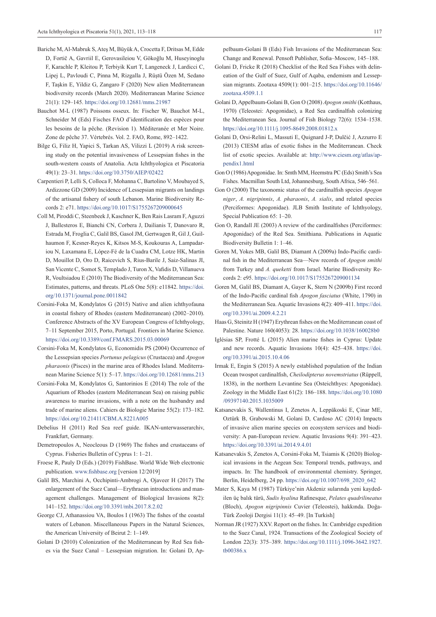- Bariche M, Al-Mabruk S, Ateş M, Büyük A, Crocetta F, Dritsas M, Edde D, Fortič A, Gavriil E, Gerovasileiou V, Gökoğlu M, Huseyinoglu F, Karachle P, Kleitou P, Terbiyik Kurt T, Langeneck J, Lardicci C, Lipej L, Pavloudi C, Pinna M, Rizgalla J, Rüştü Özen M, Sedano F, Taşkin E, Yildiz G, Zangaro F (2020) New alien Mediterranean biodiversity records (March 2020). Mediterranean Marine Science 21(1): 129–145. <https://doi.org/10.12681/mms.21987>
- Bauchot M-L (1987) Poissons osseux. In: Fischer W, Bauchot M-L, Schneider M (Eds) Fisches FAO d'identification des espèces pour les besoins de la pêche. (Revision 1). Méditeranée et Mer Noire. Zone de pêche 37. Vértebrés. Vol. 2. FAO, Rome, 892–1422.
- Bilge G, Filiz H, Yapici S, Tarkan AS, Vilizzi L (2019) A risk screening study on the potential invasiveness of Lessepsian fishes in the south-western coasts of Anatolia. Acta Ichthyologica et Piscatoria 49(1): 23–31. <https://doi.org/10.3750/AIEP/02422>
- Carpentieri P, Lelli S, Colloca F, Mohanna C, Bartolino V, Moubayed S, Ardizzone GD (2009) Incidence of Lessepsian migrants on landings of the artisanal fishery of south Lebanon. Marine Biodiversity Records 2: e71.<https://doi.org/10.1017/S1755267209000645>
- Coll M, Piroddi C, Steenbeek J, Kaschner K, Ben Rais Lasram F, Aguzzi J, Ballesteros E, Bianchi CN, Corbera J, Dailianis T, Danovaro R, Estrada M, Froglia C, Galil BS, Gasol JM, Gertwagen R, Gil J, Guilhaumon F, Kesner-Reyes K, Kitsos M-S, Koukouras A, Lampadariou N, Laxamana E, López-Fé de la Cuadra CM, Lotze HK, Martin D, Mouillot D, Oro D, Raicevich S, Rius-Barile J, Saiz-Salinas JI, San Vicente C, Somot S, Templado J, Turon X, Vafidis D, Villanueva R, Voultsiadou E (2010) The Biodiversity of the Mediterranean Sea: Estimates, patterns, and threats. PLoS One 5(8): e11842. [https://doi.](https://doi.org/10.1371/journal.pone.0011842) [org/10.1371/journal.pone.0011842](https://doi.org/10.1371/journal.pone.0011842)
- Corsini-Foka M, Kondylatos G (2015) Native and alien ichthyofauna in coastal fishery of Rhodes (eastern Mediterranean) (2002–2010). Conference Abstracts of the XV European Congress of Ichthyology, 7-11 September 2015, Porto, Portugal. Frontiers in Marine Science. <https://doi.org/10.3389/conf.FMARS.2015.03.00069>
- Corsini-Foka M, Kondylatos G, Economidis PS (2004) Occurrence of the Lessepsian species *Portunus pelagicus* (Crustacea) and *Apogon pharaonis* (Pisces) in the marine area of Rhodes Island. Mediterranean Marine Science 5(1): 5–17.<https://doi.org/10.12681/mms.213>
- Corsini-Foka M, Kondylatos G, Santorinios E (2014) The role of the Aquarium of Rhodes (eastern Mediterranean Sea) on raising public awareness to marine invasions, with a note on the husbandry and trade of marine aliens. Cahiers de Biologie Marine 55(2): 173–182. <https://doi.org/10.21411/CBM.A.8221A005>
- Debelius H (2011) Red Sea reef guide. IKAN-unterwasserarchiv, Frankfurt, Germany.
- Demetropoulos A, Neocleous D (1969) The fishes and crustaceans of Cyprus. Fisheries Bulletin of Cyprus 1: 1–21.
- Froese R, Pauly D (Eds.) (2019) FishBase. World Wide Web electronic publication. www.fishbase.org [version 12/2019]
- Galil BS, Marchini A, Occhipinti-Ambrogi A, Ojaveer H (2017) The enlargement of the Suez Canal—Erythraean introductions and management challenges. Management of Biological Invasions 8(2): 141–152.<https://doi.org/10.3391/mbi.2017.8.2.02>
- George CJ, Athanassiou VA, Boulos I (1963) The fishes of the coastal waters of Lebanon. Miscellaneous Papers in the Natural Sciences, the American University of Beirut 2: 1–149.
- Golani D (2010) Colonization of the Mediterranean by Red Sea fishes via the Suez Canal – Lessepsian migration. In: Golani D, Ap-

pelbaum-Golani B (Eds) Fish Invasions of the Mediterranean Sea: Change and Renewal. Pensoft Publisher, Sofia–Moscow, 145–188.

- Golani D, Fricke R (2018) Checklist of the Red Sea Fishes with delineation of the Gulf of Suez, Gulf of Aqaba, endemism and Lessepsian migrants. Zootaxa 4509(1): 001–215. [https://doi.org/10.11646/](https://doi.org/10.11646/zootaxa.4509.1.1) [zootaxa.4509.1.1](https://doi.org/10.11646/zootaxa.4509.1.1)
- Golani D, Appelbaum-Golani B, Gon O (2008) *Apogon smithi* (Kotthaus, 1970) (Teleostei: Apogonidae), a Red Sea cardinalfish colonizing the Mediterranean Sea. Journal of Fish Biology 72(6): 1534–1538. <https://doi.org/10.1111/j.1095-8649.2008.01812.x>
- Golani D, Orsi-Relini L, Massuti E, Quignard J-P, Dulčić J, Azzurro E (2013) CIESM atlas of exotic fishes in the Mediterranean. Check list of exotic species. Available at: [http://www.ciesm.org/atlas/ap](http://www.ciesm.org/atlas/appendix1.html)[pendix1.html](http://www.ciesm.org/atlas/appendix1.html)
- Gon O (1986) Apogonidae. In: Smth MM, Heemstra PC (Eds) Smith's Sea Fishes. Macmillan South Ltd, Johannesburg, South Africa, 546–561.
- Gon O (2000) The taxonomic status of the cardinalfish species *Apogon niger*, *A. nigripinnis*, *A. pharaonis*, *A. sialis*, and related species (Perciformes: Apogonidae). JLB Smith Institute of Ichthyology, Special Publication 65: 1–20.
- Gon O, Randall JE (2003) A review of the cardinalfishes (Perciformes: Apogonidae) of the Red Sea. Smithiana. Publications in Aquatic Biodiversity Bulletin 1: 1–46.
- Goren M, Yokes MB, Galil BS, Diamant A (2009a) Indo-Pacific cardinal fish in the Mediterranean Sea—New records of *Apogon smithi* from Turkey and *A. queketti* from Israel. Marine Biodiversity Records 2: e95. <https://doi.org/10.1017/S1755267209001134>
- Goren M, Galil BS, Diamant A, Gayer K, Stern N (2009b) First record of the Indo-Pacific cardinal fish *Apogon fasciatus* (White, 1790) in the Mediterranean Sea. Aquatic Invasions 4(2): 409–411. [https://doi.](https://doi.org/10.3391/ai.2009.4.2.21) [org/10.3391/ai.2009.4.2.21](https://doi.org/10.3391/ai.2009.4.2.21)
- Haas G, Steinitz H (1947) Erythrean fishes on the Mediterranean coast of Palestine. Nature 160(4053): 28. <https://doi.org/10.1038/160028b0>
- Iglésias SP, Frotté L (2015) Alien marine fishes in Cyprus: Update and new records. Aquatic Invasions 10(4): 425–438. [https://doi.](https://doi.org/10.3391/ai.2015.10.4.06) [org/10.3391/ai.2015.10.4.06](https://doi.org/10.3391/ai.2015.10.4.06)
- Irmak E, Engin S (2015) A newly established population of the Indian Ocean twospot cardinalfish, *Cheilodipterus novemstriatus* (Rüppell, 1838), in the northern Levantine Sea (Osteichthyes: Apogonidae). Zoology in the Middle East 61(2): 186–188. [https://doi.org/10.1080](https://doi.org/10.1080/09397140.2015.1035009) [/09397140.2015.1035009](https://doi.org/10.1080/09397140.2015.1035009)
- Katsanevakis S, Wallentinus I, Zenetos A, Leppäkoski E, Çinar ME, Oztürk B, Grabowski M, Golani D, Cardoso AC (2014) Impacts of invasive alien marine species on ecosystem services and biodiversity: A pan-European review. Aquatic Invasions 9(4): 391–423. <https://doi.org/10.3391/ai.2014.9.4.01>
- Katsanevakis S, Zenetos A, Corsini-Foka M, Tsiamis K (2020) Biological invasions in the Aegean Sea: Temporal trends, pathways, and impacts. In: The handbook of environmental chemistry. Springer, Berlin, Heidelberg, 24 pp. [https://doi.org/10.1007/698\\_2020\\_642](https://doi.org/10.1007/698_2020_642)
- Mater S, Kaya M (1987) Türkiye'nin Akdeniz sularında yeni kaydedilen üç balık türü, *Sudis hyalina* Rafinesque, *Pelates quadrilineatus* (Bloch), *Apogon nigripinnis* Cuvier (Teleostei), hakkında. Doğa-Türk Zooloji Dergisi 11(1): 45–49. [In Turkish]
- Norman JR (1927) XXV. Report on the fishes. In: Cambridge expedition to the Suez Canal, 1924. Transactions of the Zoological Society of London 22(3): 375–389. [https://doi.org/10.1111/j.1096-3642.1927.](https://doi.org/10.1111/j.1096-3642.1927.tb00386.x) [tb00386.x](https://doi.org/10.1111/j.1096-3642.1927.tb00386.x)